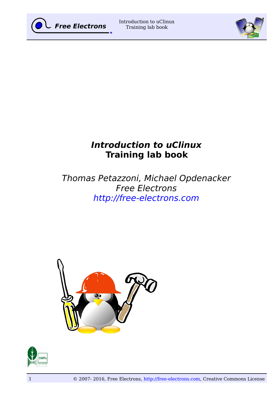



# **Introduction to uClinux Training lab book**

# Thomas Petazzoni, Michael Opdenacker Free Electrons [http://free-electrons.com](http://free-electrons.com/)



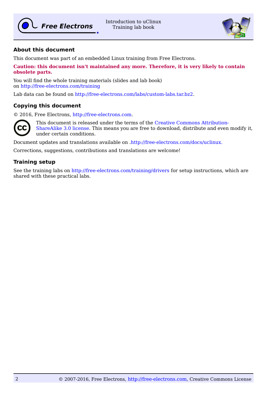

Introduction to uClinux Training lab book



# **About this document**

This document was part of an embedded Linux training from Free Electrons.

#### **Caution: this document isn't maintained any more. Therefore, it is very likely to contain obsolete parts.**

You will find the whole training materials (slides and lab book) on [http://free-electrons.com/training](http://free-electrons.com/training/linux26)

Lab data can be found on [http://free-electrons.com/labs/custom-labs.tar.bz2.](http://free-electrons.com/labs/custom-labs.tar.bz2)

### **Copying this document**

© 2016, Free Electrons, [http://free-electrons.com.](http://free-electrons.com/)



This document is released under the terms of the [Creative Commons Attribution-](http://creativecommons.org/licenses/by-sa/3.0/)[ShareAlike 3.0 license.](http://creativecommons.org/licenses/by-sa/3.0/) This means you are free to download, distribute and even modify it, under certain conditions.

Document updates and translations available on [.http://free-electrons.com/docs/uclinux.](http://free-electrons.com/docs/uclinux)

Corrections, suggestions, contributions and translations are welcome!

# **Training setup**

See the training labs on<http://free-electrons.com/training/drivers>for setup instructions, which are shared with these practical labs.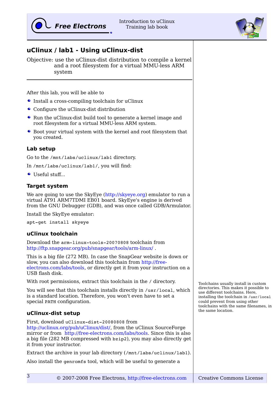# **uClinux / lab1 - Using uClinux-dist**

Objective: use the uClinux-dist distribution to compile a kernel and a root filesystem for a virtual MMU-less ARM system

After this lab, you will be able to

- Install a cross-compiling toolchain for uClinux
- Configure the uClinux-dist distribution
- Run the uClinux-dist build tool to generate a kernel image and root filesystem for a virtual MMU-less ARM system.
- Boot your virtual system with the kernel and root filesystem that you created.

#### **Lab setup**

Go to the /mnt/labs/uclinux/lab1 directory.

In /mnt/labs/uclinux/lab1/, you will find:

Useful stuff...

### **Target system**

We are going to use the SkyEye [\(http://skyeye.org\)](http://skyeye.org/) emulator to run a virtual AT91 ARM7TDMI EB01 board. SkyEye's engine is derived from the GNU Debugger (GDB), and was once called GDB/Armulator.

Install the SkyEye emulator:

apt-get install skyeye

#### **uClinux toolchain**

Download the arm-linux-tools-20070808 toolchain from <http://ftp.snapgear.org/pub/snapgear/tools/arm-linux/>.

This is a big file (272 MB). In case the SnapGear website is down or slow, you can also download this toolchain from [http://free](http://free-electrons.com/labs/tools)[electrons.com/labs/tools,](http://free-electrons.com/labs/tools) or directly get it from your instruction on a USB flash disk.

With root permissions, extract this toolchain in the  $\prime$  directory.

You will see that this toolchain installs directly in /usr/local, which is a standard location. Therefore, you won't even have to set a special PATH configuration.

#### **uClinux-dist setup**

First, download uClinux-dist-20080808 from [http://uclinux.org/pub/uClinux/dist/,](http://uclinux.org/pub/uClinux/dist/) from the uClinux SourceForge mirror or from [http://free-electrons.com/labs/tools.](http://free-electrons.com/labs/tools) Since this is also a big file (282 MB compressed with bzip2), you may also directly get it from your instructor.

Extract the archive in your lab directory (/mnt/labs/uclinux/lab1).

Also install the genromfs tool, which will be useful to generate a

Toolchains usually install in custom directories. This makes it possible to use different toolchains. Here, installing the toolchain in /usr/local could prevent from using other toolchains with the same filenames, in the same location.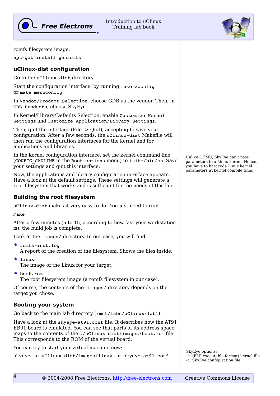

Introduction to uClinux Training lab book



romfs filesystem image.

apt-get install genromfs

### **uClinux-dist configuration**

Go to the uClinux-dist directory.

Start the configuration interface, by running make xconfig or make menuconfig.

In Vendor/Product Selection, choose GDB as the vendor. Then, in GDB Products, choose SkyEye.

In Kernel/Library/Defaults Selection, enable Customize Kernel Settings and Customize Application/Library Settings.

Then, quit the interface (File -> Quit), accepting to save your configuration. After a few seconds, the uClinux-dist Makefile will then run the configuration interfaces for the kernel and for applications and libraries.

In the kernel configuration interface, set the kernel command line (CONFIG CMDLINE in the Boot options menu) to init=/bin/sh. Save your settings and quit this interface.

Now, the applications and library configuration interface appears. Have a look at the default settings. These settings will generate a root filesystem that works and is sufficient for the needs of this lab.

#### **Building the root filesystem**

uClinux-dist makes it very easy to do! You just need to run:

make

After a few minutes (5 to 15, according to how fast your workstation is), the build job is complete.

Look at the images/ directory. In our case, you will find:

- romfs-inst.log A report of the creation of the filesystem. Shows the files inside.
- $\bullet$  linux The image of the Linux for your target.
- boot.rom The root filesystem image (a romfs filesystem in our case).

Of course, the contents of the images/ directory depends on the target you chose.

# **Booting your system**

Go back to the main lab directory (/mnt/labs/uClinux/lab1).

Have a look at the skyeye-at91.conf file. It describes how the AT91 EB01 board is emulated. You can see that parts of its address space maps to the contents of the ./uClinux-dist/images/boot.rom file. This corresponds to the ROM of the virtual board.

You can try to start your virtual machine now:

skyeye -e uClinux-dist/images/linux -c skyeye-at91.conf

Unlike QEMU, SkyEye can't pass parameters to a Linux kernel. Hence, you have to hardcode Linux kernel parameters at kernel compile time.

SkyEye options: -e: (ELF executable format) kernel file -c: SkyEye configuration file.